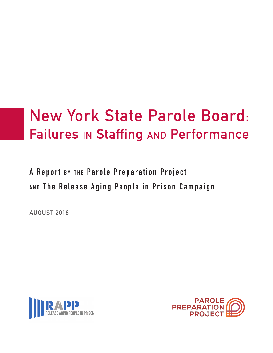# **New York State Parole Board: Failures in Staffing and Performance**

**A Report BY THE Parole Preparation Project a n d The Release Aging People in Prison Campaign**

**AUGUST 2018**



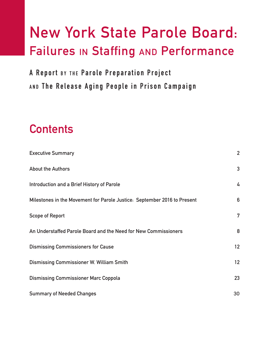## **New York State Parole Board: Failures in Staffing and Performance**

**A Report BY THE Parole Preparation Project a n d The Release Aging People in Prison Campaign**

## **Contents**

| <b>Executive Summary</b>                                                 | $\overline{2}$ |
|--------------------------------------------------------------------------|----------------|
| <b>About the Authors</b>                                                 | $\mathbf{3}$   |
| Introduction and a Brief History of Parole                               | 4              |
| Milestones in the Movement for Parole Justice: September 2016 to Present | $6\phantom{1}$ |
| <b>Scope of Report</b>                                                   | 7              |
| An Understaffed Parole Board and the Need for New Commissioners          | 8              |
| <b>Dismissing Commissioners for Cause</b>                                | 12             |
| <b>Dismissing Commissioner W. William Smith</b>                          | 12             |
| <b>Dismissing Commissioner Marc Coppola</b>                              | 23             |
| <b>Summary of Needed Changes</b>                                         | 30             |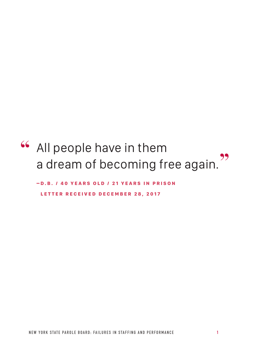# All people have in them **"** a dream of becoming free again. **"**

-D.B. / 40 YEARS OLD / 21 YEARS IN PRISON LETTER RECEIVED DECEMBER 28, 2017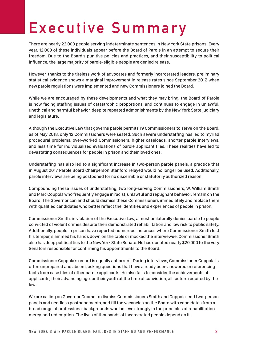## **Exe cutive Summary**

There are nearly 22,000 people serving indeterminate sentences in New York State prisons. Every year, 12,000 of these individuals appear before the Board of Parole in an attempt to secure their freedom. Due to the Board's punitive policies and practices, and their susceptibility to political influence, the large majority of parole-eligible people are denied release.

However, thanks to the tireless work of advocates and formerly incarcerated leaders, preliminary statistical evidence shows a marginal improvement in release rates since September 2017, when new parole regulations were implemented and new Commissioners joined the Board.

While we are encouraged by these developments and what they may bring, the Board of Parole is now facing staffing issues of catastrophic proportions, and continues to engage in unlawful, unethical and harmful behavior, despite repeated admonishments by the New York State judiciary and legislature.

Although the Executive Law that governs parole permits 19 Commissioners to serve on the Board, as of May 2018, only 12 Commissioners were seated. Such severe understaffing has led to myriad procedural problems, over-worked Commissioners, higher caseloads, shorter parole interviews, and less time for individualized evaluations of parole applicant files. These realities have led to devastating consequences for people in prison and their loved ones.

Understaffing has also led to a significant increase in two-person parole panels, a practice that in August 2017 Parole Board Chairperson Stanford relayed would no longer be used. Additionally, parole interviews are being postponed for no discernible or statutorily authorized reason.

Compounding these issues of understaffing, two long-serving Commissioners, W. William Smith and Marc Coppola who frequently engage in racist, unlawful and repugnant behavior, remain on the Board. The Governor can and should dismiss these Commissioners immediately and replace them with qualified candidates who better reflect the identities and experiences of people in prison.

Commissioner Smith, in violation of the Executive Law, almost unilaterally denies parole to people convicted of violent crimes despite their demonstrated rehabilitation and low risk to public safety. Additionally, people in prison have reported numerous instances where Commissioner Smith lost his temper, slammed his hands down on the table or mocked the interviewee. Commissioner Smith also has deep political ties to the New York State Senate. He has donated nearly \$20,000 to the very Senators responsible for confirming his appointments to the Board.

Commissioner Coppola's record is equally abhorrent. During interviews, Commissioner Coppola is often unprepared and absent, asking questions that have already been answered or referencing facts from case files of other parole applicants. He also fails to consider the achievements of applicants, their advancing age, or their youth at the time of conviction, all factors required by the law.

We are calling on Governor Cuomo to dismiss Commissioners Smith and Coppola, end two-person panels and needless postponements, and fill the vacancies on the Board with candidates from a broad range of professional backgrounds who believe strongly in the principles of rehabilitation, mercy, and redemption. The lives of thousands of incarcerated people depend on it.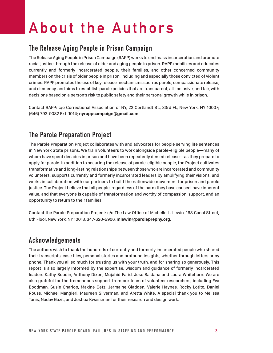## **About the Authors**

## **The Release Aging People in Prison Campaign**

The Release Aging People in Prison Campaign (RAPP) works to end mass incarceration and promote racial justice through the release of older and aging people in prison. RAPP mobilizes and educates currently and formerly incarcerated people, their families, and other concerned community members on the crisis of older people in prison, including and especially those convicted of violent crimes. RAPP promotes the use of key release mechanisms such as parole, compassionate release, and clemency, and aims to establish parole policies that are transparent, all-inclusive, and fair, with decisions based on a person's risk to public safety and their personal growth while in prison.

Contact RAPP: c/o Correctional Association of NY, 22 Cortlandt St., 33rd Fl., New York, NY 10007; (646) 793-9082 Ext. 1014; **nyrappcampaign@gmail.com**.

## **The Parole Preparation Project**

The Parole Preparation Project collaborates with and advocates for people serving life sentences in New York State prisons. We train volunteers to work alongside parole-eligible people—many of whom have spent decades in prison and have been repeatedly denied release—as they prepare to apply for parole. In addition to securing the release of parole-eligible people, the Project cultivates transformative and long-lasting relationships between those who are incarcerated and community volunteers; supports currently and formerly incarcerated leaders by amplifying their visions; and works in collaboration with our partners to build the nationwide movement for prison and parole justice. The Project believe that all people, regardless of the harm they have caused, have inherent value, and that everyone is capable of transformation and worthy of compassion, support, and an opportunity to return to their families.

Contact the Parole Preparation Project: c/o The Law Office of Michelle L. Lewin, 168 Canal Street, 6th Floor, New York, NY 10013, 347-620-5906, **mlewin@paroleprepny.org**.

### **Acknowledgements**

The authors wish to thank the hundreds of currently and formerly incarcerated people who shared their transcripts, case files, personal stories and profound insights, whether through letters or by phone. Thank you all so much for trusting us with your truth, and for sharing so generously. This report is also largely informed by the expertise, wisdom and guidance of formerly incarcerated leaders Kathy Boudin, Anthony Dixon, Mujahid Farid, Jose Saldana and Laura Whitehorn. We are also grateful for the tremendous support from our team of volunteer researchers, including Eva Boodman, Susie Charlop, Maxine Getz, Jermaine Gladden, Valerie Haynes, Rocky Lotito, Daniel Rouss, Michael Mangieri, Maureen Silverman, and Aretta White. A special thank you to Melissa Tanis, Nadav Gazit, and Joshua Kwassman for their research and design work.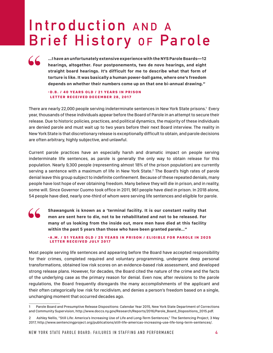## **Introduction** AND A **Brief History OF Parole**

**…I have an unfortunately extensive experience with the NYS Parole Boards—12 hearings, altogether. Four postponements, two de novo hearings, and eight straight board hearings. It's difficult for me to describe what that form of torture is like. It was basically a human power-ball game, where one's freedom depends on whether their numbers come up on that one bi-annual drawing."**

#### - D.B. / 40 YEARS OLD / 21 YEARS IN PRISON LETTER RECEIVED DECEMBER 28, 2017

**"**

There are nearly 22,000 people serving indeterminate sentences in New York State prisons.<sup>1</sup> Every year, thousands of these individuals appear before the Board of Parole in an attempt to secure their release. Due to historic policies, practices, and political dynamics, the majority of these individuals are denied parole and must wait up to two years before their next Board interview. The reality in New York State is that discretionary release is exceptionally difficult to obtain, and parole decisions are often arbitrary, highly subjective, and unlawful.

Current parole practices have an especially harsh and dramatic impact on people serving indeterminate life sentences, as parole is generally the only way to obtain release for this population. Nearly 9,300 people (representing almost 18% of the prison population) are currently serving a sentence with a maximum of life in New York State.<sup>2</sup> The Board's high rates of parole denial leave this group subject to indefinite confinement. Because of these repeated denials, many people have lost hope of ever obtaining freedom. Many believe they will die in prison, and in reality, some will. Since Governor Cuomo took office in 2011, 961 people have died in prison. In 2018 alone, 54 people have died, nearly one-third of whom were serving life sentences and eligible for parole.

**Shawangunk is known as a 'terminal facility. It is our constant reality that men are sent here to die, not to be rehabilitated and not to be released. For many of us looking from the inside out, more men have died at this facility within the past 5 years than those who have been granted parole…" "**

#### - A.M. / 51 YEARS OLD / 25 YEARS IN PRISON / ELIGIBLE FOR PAROLE IN 2025 LETTER RECEIVED JULY 2017

Most people serving life sentences and appearing before the Board have accepted responsibility for their crimes, completed required and voluntary programming, undergone deep personal transformations, obtained low risk scores on an evidence-based risk assessment, and developed strong release plans. However, for decades, the Board cited the nature of the crime and the facts of the underlying case as the primary reason for denial. Even now, after revisions to the parole regulations, the Board frequently disregards the many accomplishments of the applicant and their often categorically low risk for recidivism, and denies a person's freedom based on a single, unchanging moment that occurred decades ago.

<sup>1</sup> Parole Board and Presumptive Release Dispositions: Calendar Year 2015, New York State Department of Corrections and Community Supervision, http://www.doccs.ny.gov/Research/Reports/2016/Parole\_Board\_Dispositions\_2015.pdf.

<sup>2</sup> Ashley Nellis, "Still Life: America's Increasing Use of Life and Long-Term Sentences," The Sentencing Project, 3 May 2017, http://www.sentencingproject.org/publications/still-life-americas-increasing-use-life-long-term-sentences/.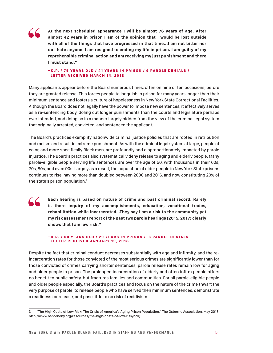

**At the next scheduled appearance I will be almost 76 years of age. After almost 42 years in prison I am of the opinion that I would be lost outside with all of the things that have progressed in that time...I am not bitter nor do I hate anyone. I am resigned to ending my life in prison. I am guilty of my reprehensible criminal action and am receiving my just punishment and there I must stand."**

#### – K.P. / 75 YEARS OLD / 41 YEARS IN PRISON / 9 PAROLE DENIALS / LETTER RECEIVED MARCH 14, 2018

Many applicants appear before the Board numerous times, often on nine or ten occasions, before they are granted release. This forces people to languish in prison for many years longer than their minimum sentence and fosters a culture of hopelessness in New York State Correctional Facilities. Although the Board does not legally have the power to impose new sentences, it effectively serves as a re-sentencing body, doling out longer punishments than the courts and legislature perhaps ever intended, and doing so in a manner largely hidden from the view of the criminal legal system that originally arrested, convicted, and sentenced the applicant.

The Board's practices exemplify nationwide criminal justice policies that are rooted in retribution and racism and result in extreme punishment. As with the criminal legal system at large, people of color, and more specifically Black men, are profoundly and disproportionately impacted by parole injustice. The Board's practices also systematically deny release to aging and elderly people. Many parole-eligible people serving life sentences are over the age of 50, with thousands in their 60s, 70s, 80s, and even 90s. Largely as a result, the population of older people in New York State prisons continues to rise, having more than doubled between 2000 and 2016, and now constituting 20% of the state's prison population.3



**Each hearing is based on nature of crime and past criminal record. Rarely is there inquiry of my accomplishments, education, vocational trades, rehabilitation while incarcerated…They say I am a risk to the community yet my risk assessment report of the past two parole hearings (2015, 2017) clearly shows that I am low risk."**

#### -D.R. / 60 YEARS OLD / 29 YEARS IN PRISON / 6 PAROLE DENIALS LETTER RECEIVED JANUARY 19, 2018

Despite the fact that criminal conduct decreases substantially with age and infirmity, and the reincarceration rates for those convicted of the most serious crimes are significantly lower than for those convicted of crimes carrying shorter sentences, parole release rates remain low for aging and older people in prison. The prolonged incarceration of elderly and often infirm people offers no benefit to public safety, but fractures families and communities. For all parole-eligible people and older people especially, the Board's practices and focus on the nature of the crime thwart the very purpose of parole: to release people who have served their minimum sentences, demonstrate a readiness for release, and pose little to no risk of recidivism.

<sup>3 &</sup>quot;The High Costs of Low Risk: The Crisis of America's Aging Prison Population," The Osborne Association, May 2018, http://www.osborneny.org/resources/the-high-costs-of-low-risk/hclr/.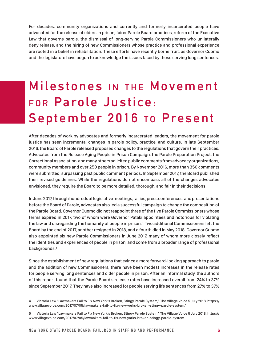For decades, community organizations and currently and formerly incarcerated people have advocated for the release of elders in prison, fairer Parole Board practices, reform of the Executive Law that governs parole, the dismissal of long-serving Parole Commissioners who unilaterally deny release, and the hiring of new Commissioners whose practice and professional experience are rooted in a belief in rehabilitation. These efforts have recently borne fruit, as Governor Cuomo and the legislature have begun to acknowledge the issues faced by those serving long sentences.

## **Milestones** IN THE **Movement** FOR Parole Justice: **September 2016 To Present**

After decades of work by advocates and formerly incarcerated leaders, the movement for parole justice has seen incremental changes in parole policy, practice, and culture. In late September 2016, the Board of Parole released proposed changes to the regulations that govern their practices. Advocates from the Release Aging People in Prison Campaign, the Parole Preparation Project, the Correctional Association, and many others solicited public comments from advocacy organizations, community members and over 250 people in prison. By November 2016, more than 350 comments were submitted, surpassing past public comment periods. In September 2017, the Board published their revised guidelines. While the regulations do not encompass all of the changes advocates envisioned, they require the Board to be more detailed, thorough, and fair in their decisions.

In June 2017, through hundreds of legislative meetings, rallies, press conferences, and presentations before the Board of Parole, advocates also led a successful campaign to change the composition of the Parole Board. Governor Cuomo did not reappoint three of the five Parole Commissioners whose terms expired in 2017, two of whom were Governor Pataki appointees and notorious for violating the law and disregarding the humanity of people in prison.<sup>4</sup> Two additional Commissioners left the Board by the end of 2017, another resigned in 2018, and a fourth died in May 2018. Governor Cuomo also appointed six new Parole Commissioners in June 2017, many of whom more closely reflect the identities and experiences of people in prison, and come from a broader range of professional backgrounds.<sup>5</sup>

Since the establishment of new regulations that evince a more forward-looking approach to parole and the addition of new Commissioners, there have been modest increases in the release rates for people serving long sentences and older people in prison. After an informal study, the authors of this report found that the Parole Board's release rates have increased overall from 24% to 37% since September 2017. They have also increased for people serving life sentences from 27% to 37%

<sup>4</sup> Victoria Law "Lawmakers Fail to Fix New York's Broken, Stingy Parole System," The Village Voice 5 July 2018, https:// www.villagevoice.com/2017/07/05/lawmakers-fail-to-fix-new-yorks-broken-stingy-parole-system.'

<sup>5</sup> Victoria Law "Lawmakers Fail to Fix New York's Broken, Stingy Parole System," The Village Voice 5 July 2018, https:// www.villagevoice.com/2017/07/05/lawmakers-fail-to-fix-new-yorks-broken-stingy-parole-system.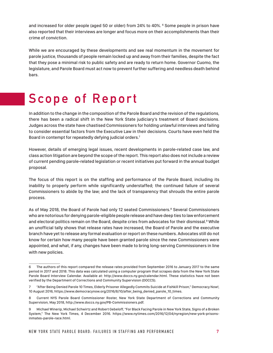and increased for older people (aged 50 or older) from 24% to 40%. 6 Some people in prison have also reported that their interviews are longer and focus more on their accomplishments than their crime of conviction.

While we are encouraged by these developments and see real momentum in the movement for parole justice, thousands of people remain locked up and away from their families, despite the fact that they pose a minimal risk to public safety and are ready to return home. Governor Cuomo, the legislature, and Parole Board must act now to prevent further suffering and needless death behind bars.

## **Scope of Report**

In addition to the change in the composition of the Parole Board and the revision of the regulations, there has been a radical shift in the New York State judiciary's treatment of Board decisions. Judges across the state have chastised Commissioners for holding unlawful interviews and failing to consider essential factors from the Executive Law in their decisions. Courts have even held the Board in contempt for repeatedly defying judicial orders.<sup>7</sup>

However, details of emerging legal issues, recent developments in parole-related case law, and class action litigation are beyond the scope of the report. This report also does not include a review of current pending parole-related legislation or recent initiatives put forward in the annual budget proposal.

The focus of this report is on the staffing and performance of the Parole Board, including its inability to properly perform while significantly understaffed; the continued failure of several Commissioners to abide by the law; and the lack of transparency that shrouds the entire parole process.

As of May 2018, the Board of Parole had only 12 seated Commissioners.<sup>8</sup> Several Commissioners who are notorious for denying parole-eligible people release and have deep ties to law enforcement and electoral politics remain on the Board, despite cries from advocates for their dismissal. $^{\circ}$  While an unofficial tally shows that release rates have increased, the Board of Parole and the executive branch have yet to release any formal evaluation or report on these numbers. Advocates still do not know for certain how many people have been granted parole since the new Commissioners were appointed, and what, if any, changes have been made to bring long-serving Commissioners in line with new policies.

The authors of this report compared the release rates provided from September 2016 to January 2017 to the same period in 2017 and 2018. This data was calculated using a computer program that scrapes data from the New York State Parole Board Interview Calendar. Available at: http://www.doccs.ny.gov/calendar.html. These statistics have not been verified by the Department of Corrections and Community Supervision (DOCCS).

<sup>7 &</sup>quot;After Being Denied Parole 10 Times, Elderly Prisoner Allegedly Commits Suicide at Fishkill Prison," Democracy Now!, 10 August 2016, https://www.democracynow.org/2016/8/10/after\_being\_denied\_parole\_10\_times.

<sup>8</sup> Current NYS Parole Board Commissioner Roster, New York State Department of Corrections and Community Supervision, May 2018, http://www.doccs.ny.gov/PB-Commissioners.pdf.

<sup>9</sup> Michael Winerip, Michael Schwirtz and Robert Gebeloff, "For Black Facing Parole in New York State, Signs of a Broken System," The New York Times, 4 December 2016. https://www.nytimes.com/2016/12/04/nyregion/new-york-prisonsinmates-parole-race.html.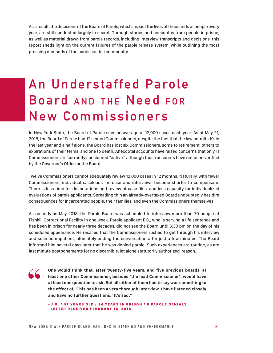As a result, the decisions of the Board of Parole, which impact the lives of thousands of people every year, are still conducted largely in secret. Through stories and anecdotes from people in prison, as well as material drawn from parole records, including interview transcripts and decisions, this report sheds light on the current failures of the parole release system, while outlining the most pressing demands of the parole justice community.

## **An Understaffed Parole Board** AND THE Need FOR **New Commissioners**

In New York State, the Board of Parole sees an average of 12,000 cases each year. As of May 21, 2018, the Board of Parole had 12 seated Commissioners, despite the fact that the law permits 19. In the last year and a half alone, the Board has lost six Commissioners, some to retirement, others to expirations of their terms, and one to death. Anecdotal accounts have raised concerns that only 11 Commissioners are currently considered "active," although those accounts have not been verified by the Governor's Office or the Board.

Twelve Commissioners cannot adequately review 12,000 cases in 12 months. Naturally, with fewer Commissioners, individual caseloads increase and interviews become shorter to compensate. There is less time for deliberations and review of case files, and less capacity for individualized evaluations of parole applicants. Spreading thin an already-overtaxed Board undoubtedly has dire consequences for incarcerated people, their families, and even the Commissioners themselves.

As recently as May 2018, the Parole Board was scheduled to interview more than 70 people at Fishkill Correctional Facility in one week. Parole applicant E.C., who is serving a life sentence and has been in prison for nearly three decades, did not see the Board until 6:30 pm on the day of his scheduled appearance. He recalled that the Commissioners rushed to get through his interview and seemed impatient, ultimately ending the conversation after just a few minutes. The Board informed him several days later that he was denied parole. Such experiences are routine, as are last minute postponements for no discernible, let alone statutorily authorized, reason.

**"**

**One would think that, after twenty-five years, and five previous boards, at least one other Commissioner, besides [the lead Commissioner], would have at least one question to ask. But all either of them had to say was something to the effect of, 'This has been a very thorough interview. I have listened closely and have no further questions.' It's sad."**

 $-$  J.G. / 47 YEARS OLD / 24 YEARS IN PRISON / 6 PAROLE DENIALS LETTER RECEIVED FEBRUARY 15, 2018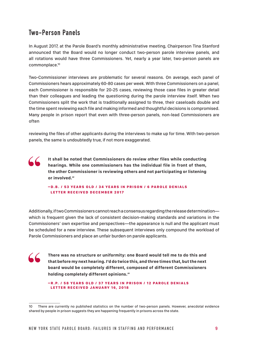### **Two-Person Panels**

**"**

In August 2017, at the Parole Board's monthly administrative meeting, Chairperson Tina Stanford announced that the Board would no longer conduct two-person parole interview panels, and all rotations would have three Commissioners. Yet, nearly a year later, two-person panels are commonplace.10

Two-Commissioner interviews are problematic for several reasons. On average, each panel of Commissioners hears approximately 60-80 cases per week. With three Commissioners on a panel, each Commissioner is responsible for 20-25 cases, reviewing those case files in greater detail than their colleagues and leading the questioning during the parole interview itself. When two Commissioners split the work that is traditionally assigned to three, their caseloads double and the time spent reviewing each file and making informed and thoughtful decisions is compromised. Many people in prison report that even with three-person panels, non-lead Commissioners are often

reviewing the files of other applicants during the interviews to make up for time. With two-person panels, the same is undoubtedly true, if not more exaggerated.

**It shall be noted that Commissioners do review other files while conducting hearings. While one commissioners has the individual file in front of them, the other Commissioner is reviewing others and not participating or listening or involved." "**

–D.B. / 53 YEARS OLD / 34 YEARS IN PRISON / 6 PAROLE DENIALS LETTER RECEIVED DECEMBER 2017

Additionally, if two Commissioners cannot reach a consensus regarding the release determination which is frequent given the lack of consistent decision-making standards and variations in the Commissioners' own expertise and perspectives—the appearance is null and the applicant must be scheduled for a new interview. These subsequent interviews only compound the workload of Parole Commissioners and place an unfair burden on parole applicants.

**There was no structure or uniformity: one Board would tell me to do this and that before my next hearing. I'd do twice this, and three times that, but the next board would be completely different, composed of different Commissioners holding completely different opinions."**

-R.P. / 58 YEARS OLD / 37 YEARS IN PRISON / 12 PAROLE DENIALS LETTER RECEIVED JANUARY 16, 2018

<sup>10</sup> There are currently no published statistics on the number of two-person panels. However, anecdotal evidence shared by people in prison suggests they are happening frequently in prisons across the state.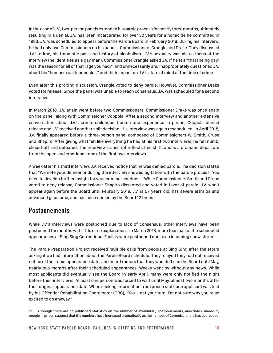In the case of J.V., two-person panels extended his parole process for nearly three months, ultimately resulting in a denial. J.V. has been incarcerated for over 30 years for a homicide he committed in 1983. J.V. was scheduled to appear before the Parole Board in February 2018. During his interview, he had only two Commissioners on his panel—Commissioners Crangle and Drake. They discussed J.V.'s crime, his traumatic past and history of alcoholism. J.V.'s sexuality was also a focus of the interview (he identifies as a gay man). Commissioner Crangle asked J.V. if he felt "that [being gay] was the reason for all of that rage you had?" and unnecessarily and inappropriately questioned J.V. about his "homosexual tendencies," and their impact on J.V.'s state of mind at the time of crime.

Even after this probing discussion, Crangle voted to deny parole. However, Commissioner Drake voted for release. Since the panel was unable to reach consensus, J.V. was scheduled for a second interview.

In March 2018, J.V. again went before two Commissioners. Commissioner Drake was once again on the panel, along with Commissioner Coppola. After a second interview and another extensive conversation about J.V.'s crime, childhood trauma and experience in prison, Coppola denied release and J.V. received another split decision. His interview was again rescheduled. In April 2018, J.V. finally appeared before a three-person panel composed of Commissioners W. Smith, Cruse and Shapiro. After giving what felt like everything he had at his first two interviews, he felt numb, closed-off and defeated. The interview transcript reflects this shift, and is a dramatic departure from the open and emotional tone of the first two interviews.

A week after his third interview, J.V. received notice that he was denied parole. The decision stated that "We note your demeanor during the interview showed agitation with the parole process…You need to develop further insight for your criminal conduct…" While Commissioners Smith and Cruse voted to deny release, Commissioner Shapiro dissented and voted in favor of parole. J.V. won't appear again before the Board until February 2019. J.V. is 57 years old, has severe arthritis and advanced glaucoma, and has been denied by the Board 12 times.

### **Postponements**

While J.V.'s interviews were postponed due to lack of consensus, other interviews have been postponed for months with little or no explanation.<sup>11</sup> In March 2018, more than half of the scheduled appearances at Sing Sing Correctional Facility were postponed due to an incoming snow storm.

The Parole Preparation Project received multiple calls from people at Sing Sing after the storm asking if we had information about the Parole Board schedule. They relayed they had not received notice of their next appearance date, and heard rumors that they wouldn't see the Board until May, nearly two months after their scheduled appearances. Weeks went by without any news. While most applicants did eventually see the Board in early April, many were only notified the night before their interviews. At least one person was forced to wait until May, almost two months after their original appearance date. When seeking information from prison staff, one applicant was told by his Offender Rehabilitation Coordinator (ORC), "You'll get your turn. I'm not sure why you're so excited to go anyway."

<sup>11</sup> Although there are no published statistics on the number of involuntary postponements, anecdotes shared by people in prison suggest that the numbers have increased dramatically as the number of Commissioners has decreased.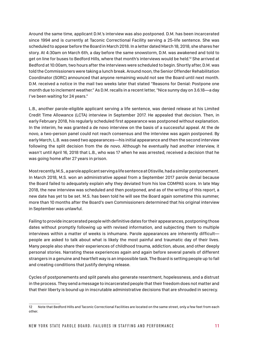Around the same time, applicant D.M.'s interview was also postponed. D.M. has been incarcerated since 1994 and is currently at Taconic Correctional Facility serving a 25-life sentence. She was scheduled to appear before the Board in March 2018. In a letter dated March 18, 2018, she shares her story. At 4:30am on March 6th, a day before the same snowstorm, D.M. was awakened and told to get on line for buses to Bedford Hills, where that month's interviews would be held.12 She arrived at Bedford at 10:00am, two hours after the interviews were scheduled to begin. Shortly after, D.M. was told the Commissioners were taking a lunch break. Around noon, the Senior Offender Rehabilitation Coordinator (SORC) announced that anyone remaining would not see the Board until next month. D.M. received a notice in the mail two weeks later that stated "Reasons for Denial: Postpone one month due to inclement weather." As D.M. recalls in a recent letter, "Nice sunny day on 3.6.18—a day I've been waiting for 24 years."

L.B., another parole-eligible applicant serving a life sentence, was denied release at his Limited Credit Time Allowance (LCTA) interview in September 2017. He appealed that decision. Then, in early February 2018, his regularly scheduled first appearance was postponed without explanation. In the interim, he was granted a de novo interview on the basis of a successful appeal. At the de novo, a two-person panel could not reach consensus and the interview was again postponed. By early March, L.B. was owed two appearances—his initial appearance and then the second interview following the split decision from the de novo. Although he eventually had another interview, it wasn't until April 16, 2018 that L.B., who was 17 when he was arrested, received a decision that he was going home after 27 years in prison.

Most recently, M.S., a parole applicant serving a life sentence at Otisville, had a similar postponement. In March 2018, M.S. won an administrative appeal from a September 2017 parole denial because the Board failed to adequately explain why they deviated from his low COMPAS score. In late May 2018, the new interview was scheduled and then postponed, and as of the writing of this report, a new date has yet to be set. M.S. has been told he will see the Board again sometime this summer, more than 10 months after the Board's own Commissioners determined that his original interview in September was unlawful.

Failing to provide incarcerated people with definitive dates for their appearances, postponing those dates without promptly following up with revised information, and subjecting them to multiple interviews within a matter of weeks is inhumane. Parole appearances are inherently difficult people are asked to talk about what is likely the most painful and traumatic day of their lives. Many people also share their experiences of childhood trauma, addiction, abuse, and other deeply personal stories. Narrating these experiences again and again before several panels of different strangers in a genuine and heartfelt way is an impossible task. The Board is setting people up to fail and creating conditions that justify denying release.

Cycles of postponements and split panels also generate resentment, hopelessness, and a distrust in the process. They send a message to incarcerated people that their freedom does not matter and that their liberty is bound up in inscrutable administrative decisions that are shrouded in secrecy.

<sup>12</sup> Note that Bedford Hills and Taconic Correctional Facilities are located on the same street, only a few feet from each other.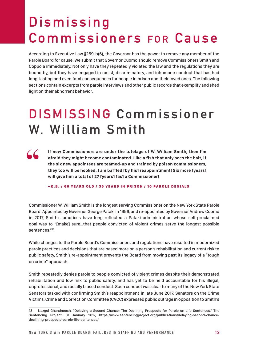## **D i s m i s s i n g Commissioners FOR Cause**

According to Executive Law §259-b(6), the Governor has the power to remove any member of the Parole Board for cause. We submit that Governor Cuomo should remove Commissioners Smith and Coppola immediately. Not only have they repeatedly violated the law and the regulations they are bound by, but they have engaged in racist, discriminatory, and inhumane conduct that has had long-lasting and even fatal consequences for people in prison and their loved ones. The following sections contain excerpts from parole interviews and other public records that exemplify and shed light on their abhorrent behavior.

## **DISMISSING Commissioner W. William Smith**

**If new Commissioners are under the tutelage of W. William Smith, then I'm afraid they might become contaminated. Like a fish that only sees the bait, if the six new appointees are teamed-up and trained by poison commissioners, they too will be hooked. I am baffled [by his] reappointment! Six more [years] will give him a total of 27 [years] [as] a Commissioner!** 

**"**

–K.B. / 66 YEARS OLD / 36 YEARS IN PRISON / 10 PAROLE DENIALS

Commissioner W. William Smith is the longest serving Commissioner on the New York State Parole Board. Appointed by Governor George Pataki in 1996, and re-appointed by Governor Andrew Cuomo in 2017, Smith's practices have long reflected a Pataki administration whose self-proclaimed goal was to "[make] sure…that people convicted of violent crimes serve the longest possible sentences."13

While changes to the Parole Board's Commissioners and regulations have resulted in modernized parole practices and decisions that are based more on a person's rehabilitation and current risk to public safety, Smith's re-appointment prevents the Board from moving past its legacy of a "tough on crime" approach.

Smith repeatedly denies parole to people convicted of violent crimes despite their demonstrated rehabilitation and low risk to public safety, and has yet to be held accountable for his illegal, unprofessional, and racially biased conduct. Such conduct was clear to many of the New York State Senators tasked with confirming Smith's reappointment in late June 2017. Senators on the Crime Victims, Crime and Correction Committee (CVCC) expressed public outrage in opposition to Smith's

<sup>13</sup> Nazgol Ghandnoosh, "Delaying a Second Chance: The Declining Prospects for Parole on Life Sentences," The Sentencing Project. 31 January 2017, https://www.sentencingproject.org/publications/delaying-second-chancedeclining-prospects-parole-life-sentences/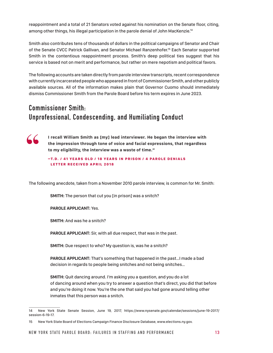reappointment and a total of 21 Senators voted against his nomination on the Senate floor, citing, among other things, his illegal participation in the parole denial of John MacKenzie.14

Smith also contributes tens of thousands of dollars in the political campaigns of Senator and Chair of the Senate CVCC Patrick Gallivan, and Senator Michael Ranzenhofer.15 Each Senator supported Smith in the contentious reappointment process. Smith's deep political ties suggest that his service is based not on merit and performance, but rather on mere nepotism and political favors.

The following accounts are taken directly from parole interview transcripts, recent correspondence with currently incarcerated people who appeared in front of Commissioner Smith, and other publicly available sources. All of the information makes plain that Governor Cuomo should immediately dismiss Commissioner Smith from the Parole Board before his term expires in June 2023.

## **Commissioner Smith: Unprofessional, Condescending, and Humiliating Conduct**



**I recall William Smith as [my] lead interviewer. He began the interview with the impression through tone of voice and facial expressions, that regardless to my eligibility, the interview was a waste of time."**

-T.D. / 41 YEARS OLD / 18 YEARS IN PRISON / 4 PAROLE DENIALS LETTER RECEIVED APRIL 2018

The following anecdote, taken from a November 2010 parole interview, is common for Mr. Smith:

**SMITH:** The person that cut you [in prison] was a snitch?

#### **PAROLE APPLICANT:** Yes.

**SMITH:** And was he a snitch?

**PAROLE APPLICANT:** Sir, with all due respect, that was in the past.

**SMITH:** Due respect to who? My question is, was he a snitch?

**PAROLE APPLICANT:** That's something that happened in the past…I made a bad decision in regards to people being snitches and not being snitches…

**SMITH:** Quit dancing around. I'm asking you a question, and you do a lot of dancing around when you try to answer a question that's direct, you did that before and you're doing it now. You're the one that said you had gone around telling other inmates that this person was a snitch.

<sup>14</sup> New York State Senate Session, June 19, 2017, https://www.nysenate.gov/calendar/sessions/june-19-2017/ session-6-19-17.

<sup>15</sup> New York State Board of Elections Campaign Finance Disclosure Database, www.elections.ny.gov.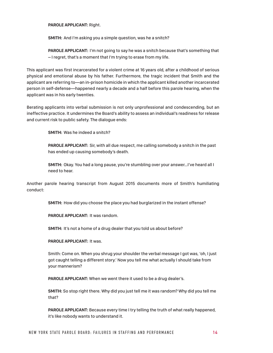**PAROLE APPLICANT:** Right.

**SMITH:** And I'm asking you a simple question, was he a snitch?

**PAROLE APPLICANT:** I'm not going to say he was a snitch because that's something that – I regret, that's a moment that I'm trying to erase from my life.

This applicant was first incarcerated for a violent crime at 16 years old, after a childhood of serious physical and emotional abuse by his father. Furthermore, the tragic incident that Smith and the applicant are referring to—an in-prison homicide in which the applicant killed another incarcerated person in self-defense—happened nearly a decade and a half before this parole hearing, when the applicant was in his early twenties.

Berating applicants into verbal submission is not only unprofessional and condescending, but an ineffective practice. It undermines the Board's ability to assess an individual's readiness for release and current risk to public safety. The dialogue ends:

**SMITH:** Was he indeed a snitch?

**PAROLE APPLICANT:** Sir, with all due respect, me calling somebody a snitch in the past has ended up causing somebody's death.

**SMITH:** Okay. You had a long pause, you're stumbling over your answer…I've heard all I need to hear.

Another parole hearing transcript from August 2015 documents more of Smith's humiliating conduct:

**SMITH:** How did you choose the place you had burglarized in the instant offense?

**PAROLE APPLICANT:** It was random.

**SMITH:** It's not a home of a drug dealer that you told us about before?

#### **PAROLE APPLICANT:** It was.

Smith: Come on. When you shrug your shoulder the verbal message I got was, 'oh, I just got caught telling a different story.' Now you tell me what actually I should take from your mannerism?

**PAROLE APPLICANT:** When we went there it used to be a drug dealer's.

**SMITH:** So stop right there. Why did you just tell me it was random? Why did you tell me that?

**PAROLE APPLICANT:** Because every time I try telling the truth of what really happened, it's like nobody wants to understand it.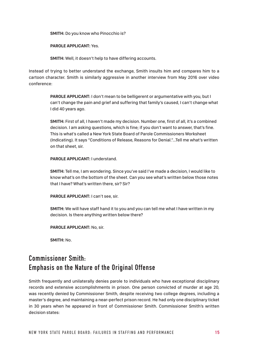**SMITH:** Do you know who Pinocchio is?

**PAROLE APPLICANT:** Yes.

**SMITH:** Well, it doesn't help to have differing accounts.

Instead of trying to better understand the exchange, Smith insults him and compares him to a cartoon character. Smith is similarly aggressive in another interview from May 2016 over video conference:

> **PAROLE APPLICANT:** I don't mean to be belligerent or argumentative with you, but I can't change the pain and grief and suffering that family's caused, I can't change what I did 40 years ago.

> **SMITH:** First of all, I haven't made my decision. Number one, first of all, it's a combined decision. I am asking questions, which is fine; if you don't want to answer, that's fine. This is what's called a New York State Board of Parole Commissioners Worksheet (Indicating). It says "Conditions of Release, Reasons for Denial."...Tell me what's written on that sheet, sir.

**PAROLE APPLICANT:** I understand.

**SMITH:** Tell me, I am wondering. Since you've said I've made a decision, I would like to know what's on the bottom of the sheet. Can you see what's written below those notes that I have? What's written there, sir? Sir?

**PAROLE APPLICANT:** I can't see, sir.

**SMITH:** We will have staff hand it to you and you can tell me what I have written in my decision. Is there anything written below there?

**PAROLE APPLICANT:** No, sir.

**SMITH:** No.

## **Commissioner Smith: Emphasis on the Nature of the Original Offense**

Smith frequently and unilaterally denies parole to individuals who have exceptional disciplinary records and extensive accomplishments in prison. One person convicted of murder at age 20, was recently denied by Commissioner Smith, despite receiving two college degrees, including a master's degree, and maintaining a near-perfect prison record. He had only one disciplinary ticket in 30 years when he appeared in front of Commissioner Smith. Commissioner Smith's written decision states: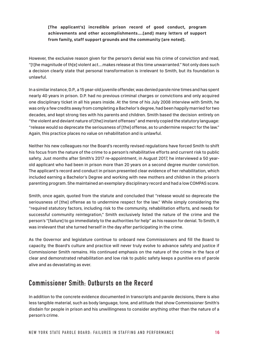**[The applicant's] incredible prison record of good conduct, program achievements and other accomplishments….[and] many letters of support from family, staff support grounds and the community [are noted].**

However, the exclusive reason given for the person's denial was his crime of conviction and read, "[t]he magnitude of th[e] violent act….makes release at this time unwarranted." Not only does such a decision clearly state that personal transformation is irrelevant to Smith, but its foundation is unlawful.

In a similar instance, D.P., a 15 year-old juvenile offender, was denied parole nine times and has spent nearly 40 years in prison. D.P. had no previous criminal charges or convictions and only acquired one disciplinary ticket in all his years inside. At the time of his July 2008 interview with Smith, he was only a few credits away from completing a Bachelor's degree, had been happily married for two decades, and kept strong ties with his parents and children. Smith based the decision entirely on "the violent and deviant nature of [the] instant offenses" and merely copied the statutory language: "release would so deprecate the seriousness of [the] offense, as to undermine respect for the law." Again, this practice places no value on rehabilitation and is unlawful.

Neither his new colleagues nor the Board's recently revised regulations have forced Smith to shift his focus from the nature of the crime to a person's rehabilitative efforts and current risk to public safety. Just months after Smith's 2017 re-appointment, in August 2017, he interviewed a 50 yearold applicant who had been in prison more than 20 years on a second degree murder conviction. The applicant's record and conduct in prison presented clear evidence of her rehabilitation, which included earning a Bachelor's Degree and working with new mothers and children in the prison's parenting program. She maintained an exemplary disciplinary record and had a low COMPAS score.

Smith, once again, quoted from the statute and concluded that "release would so deprecate the seriousness of [the] offense as to undermine respect for the law." While simply considering the "required statutory factors, including risk to the community, rehabilitation efforts, and needs for successful community reintegration," Smith exclusively listed the nature of the crime and the person's "[failure] to go immediately to the authorities for help" as his reason for denial. To Smith, it was irrelevant that she turned herself in the day after participating in the crime.

As the Governor and legislature continue to onboard new Commissioners and fill the Board to capacity, the Board's culture and practice will never truly evolve to advance safety and justice if Commissioner Smith remains. His continued emphasis on the nature of the crime in the face of clear and demonstrated rehabilitation and low risk to public safety keeps a punitive era of parole alive and as devastating as ever.

### **Commissioner Smith: Outbursts on the Record**

In addition to the concrete evidence documented in transcripts and parole decisions, there is also less tangible material, such as body language, tone, and attitude that show Commissioner Smith's disdain for people in prison and his unwillingness to consider anything other than the nature of a person's crime.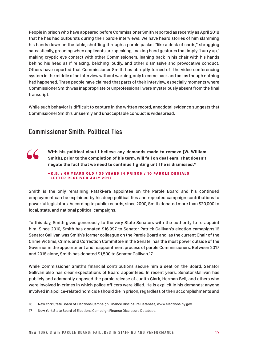People in prison who have appeared before Commissioner Smith reported as recently as April 2018 that he has had outbursts during their parole interviews. We have heard stories of him slamming his hands down on the table, shuffling through a parole packet "like a deck of cards," shrugging sarcastically, groaning when applicants are speaking, making hand gestures that imply "hurry up," making cryptic eye contact with other Commissioners, leaning back in his chair with his hands behind his head as if relaxing, belching loudly, and other dismissive and provocative conduct. Others have reported that Commissioner Smith has abruptly turned off the video conferencing system in the middle of an interview without warning, only to come back and act as though nothing had happened. Three people have claimed that parts of their interview, especially moments where Commissioner Smith was inappropriate or unprofessional, were mysteriously absent from the final transcript.

While such behavior is difficult to capture in the written record, anecdotal evidence suggests that Commissioner Smith's unseemly and unacceptable conduct is widespread.

### **Commissioner Smith: Political Ties**

**With his political clout I believe any demands made to remove [W. William Smith], prior to the completion of his term, will fall on deaf ears. That doesn't negate the fact that we need to continue fighting until he is dismissed." "**

#### – K.B. / 66 YEARS OLD / 36 YEARS IN PRISON / 10 PAROLE DENIALS LETTER RECEIVED JULY 2017

Smith is the only remaining Pataki-era appointee on the Parole Board and his continued employment can be explained by his deep political ties and repeated campaign contributions to powerful legislators. According to public records, since 2000, Smith donated more than \$20,000 to local, state, and national political campaigns.

To this day, Smith gives generously to the very State Senators with the authority to re-appoint him. Since 2010, Smith has donated \$16,997 to Senator Patrick Gallivan's election camapigns.16 Senator Gallivan was Smith's former colleague on the Parole Board and, as the current Chair of the Crime Victims, Crime, and Correction Committee in the Senate, has the most power outside of the Governor in the appointment and reappointment process of parole Commissioners. Between 2017 and 2018 alone, Smith has donated \$1,500 to Senator Gallivan.17

While Commissioner Smith's financial contributions secure him a seat on the Board, Senator Gallivan also has clear expectations of Board appointees. In recent years, Senator Gallivan has publicly and adamantly opposed the parole release of Judith Clark, Herman Bell, and others who were involved in crimes in which police officers were killed. He is explicit in his demands: anyone involved in a police-related homicide should die in prison, regardless of their accomplishments and

<sup>16</sup> New York State Board of Elections Campaign Finance Disclosure Database, www.elections.ny.gov.

<sup>17</sup> New York State Board of Elections Campaign Finance Disclosure Database.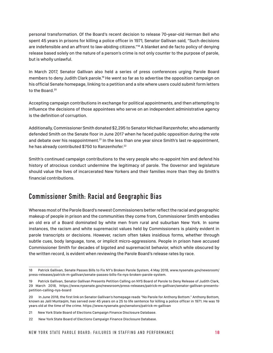personal transformation. Of the Board's recent decision to release 70-year-old Herman Bell who spent 45 years in prisons for killing a police officer in 1971, Senator Gallivan said, "Such decisions are indefensible and an affront to law-abiding citizens."<sup>18</sup> A blanket and de facto policy of denying release based solely on the nature of a person's crime is not only counter to the purpose of parole, but is wholly unlawful.

In March 2017, Senator Gallivan also held a series of press conferences urging Parole Board members to deny Judith Clark parole.<sup>19</sup> He went so far as to advertise the opposition campaign on his official Senate homepage, linking to a petition and a site where users could submit form letters to the Board.<sup>20</sup>

Accepting campaign contributions in exchange for political appointments, and then attempting to influence the decisions of those appointees who serve on an independent administrative agency is the definition of corruption.

Additionally, Commissioner Smith donated \$2,295 to Senator Michael Ranzenhofer, who adamantly defended Smith on the Senate floor in June 2017 when he faced public opposition during the vote and debate over his reappointment.<sup>21</sup> In the less than one year since Smith's last re-appointment, he has already contributed \$750 to Ranzenhofer.<sup>22</sup>

Smith's continued campaign contributions to the very people who re-appoint him and defend his history of atrocious conduct undermine the legitimacy of parole. The Governor and legislature should value the lives of incarcerated New Yorkers and their families more than they do Smith's financial contributions.

### **Commissioner Smith: Racial and Geographic Bias**

Whereas most of the Parole Board's newest Commissioners better reflect the racial and geographic makeup of people in prison and the communities they come from, Commissioner Smith embodies an old era of a Board dominated by white men from rural and suburban New York. In some instances, the racism and white supremacist values held by Commissioners is plainly evident in parole transcripts or decisions. However, racism often takes insidious forms, whether through subtle cues, body language, tone, or implicit micro-aggressions. People in prison have accused Commissioner Smith for decades of bigoted and supremacist behavior, which while obscured by the written record, is evident when reviewing the Parole Board's release rates by race.

<sup>18</sup> Patrick Gallivan, Senate Passes Bills to Fix NY's Broken Parole System, 4 May 2018, www.nysenate.gov/newsroom/ press-releases/patrick-m-gallivan/senate-passes-bills-fix-nys-broken-parole-system.

<sup>19</sup> Patrick Gallivan, Senator Gallivan Presents Petition Calling on NYS Board of Parole to Deny Release of Judith Clark, 29 March 2018, https://www.nysenate.gov/newsroom/press-releases/patrick-m-gallivan/senator-gallivan-presentspetition-calling-nys-board

<sup>20</sup> In June 2018, the first link on Senator Gallivan's homepage reads "No Parole for Anthony Bottom." Anthony Bottom, known as Jalil Muntaqim, has served over 45 years on a 25 to life sentence for killing a police officer in 1971. He was 19 years old at the time of the crime. https://www.nysenate.gov/senators/patrick-m-gallivan

<sup>21</sup> New York State Board of Elections Campaign Finance Disclosure Database.

<sup>22</sup> New York State Board of Elections Campaign Finance Disclosure Database.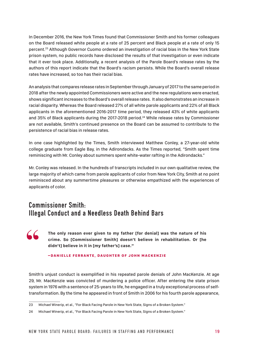In December 2016, the New York Times found that Commissioner Smith and his former colleagues on the Board released white people at a rate of 25 percent and Black people at a rate of only 15 percent.23 Although Governor Cuomo ordered an investigation of racial bias in the New York State prison system, no public records have disclosed the results of that investigation or even indicate that it ever took place. Additionally, a recent analysis of the Parole Board's release rates by the authors of this report indicate that the Board's racism persists. While the Board's overall release rates have increased, so too has their racial bias.

An analysis that compares release rates in September through January of 2017 to the same period in 2018 after the newly appointed Commissioners were active and the new regulations were enacted, shows significant increases to the Board's overall release rates. It also demonstrates an increase in racial disparity. Whereas the Board released 27% of all white parole applicants and 22% of all Black applicants in the aforementioned 2016-2017 time period, they released 43% of white applicants and 35% of Black applicants during the 2017-2018 period.<sup>24</sup> While release rates by Commissioner are not available, Smith's continued presence on the Board can be assumed to contribute to the persistence of racial bias in release rates.

In one case highlighted by the Times, Smith interviewed Matthew Conley, a 27-year-old white college graduate from Eagle Bay, in the Adirondacks. As the Times reported, "Smith spent time reminiscing with Mr. Conley about summers spent white-water rafting in the Adirondacks."

Mr. Conley was released. In the hundreds of transcripts included in our own qualitative review, the large majority of which came from parole applicants of color from New York City, Smith at no point reminisced about any summertime pleasures or otherwise empathized with the experiences of applicants of color.

### **Commissioner Smith: Illegal Conduct and a Needless Death Behind Bars**

**"**

**The only reason ever given to my father [for denial] was the nature of his crime. So [Commissioner Smith] doesn't believe in rehabilitation. Or [he didn't] believe in it in [my father's] case."**

#### –DANIELLE FERRANTE, DAUGHTER OF JOHN MACKENZIE

Smith's unjust conduct is exemplified in his repeated parole denials of John MacKenzie. At age 29, Mr. MacKenzie was convicted of murdering a police officer. After entering the state prison system in 1976 with a sentence of 25-years to life, he engaged in a truly exceptional process of selftransformation. By the time he appeared in front of Smith in 2006 for his fourth parole appearance,

<sup>23</sup> Michael Winerip, et al., "For Black Facing Parole in New York State, Signs of a Broken System."

<sup>24</sup> Michael Winerip, et al., "For Black Facing Parole in New York State, Signs of a Broken System."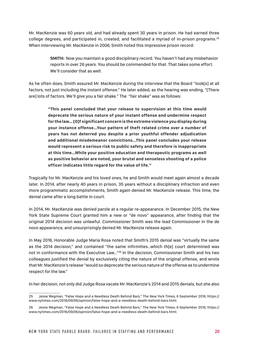Mr. MacKenzie was 60 years old, and had already spent 30 years in prison. He had earned three college degrees, and participated in, created, and facilitated a myriad of in-prison programs.<sup>25</sup> When interviewing Mr. MacKenzie in 2006, Smith noted this impressive prison record:

> **SMITH:** Now you maintain a good disciplinary record. You haven't had any misbehavior reports in over 26 years. You should be commended for that. That takes some effort. We'll consider that as well.

As he often does, Smith assured Mr. MacKenzie during the interview that the Board "look[s] at all factors, not just including the instant offense." He later added, as the hearing was ending, "[There are] lots of factors. We'll give you a fair shake." The "fair shake" was as follows:

**"This panel concluded that your release to supervision at this time would deprecate the serious nature of your instant offense and undermine respect for the law… [O]f significant concern is the extreme violence you display during your instance offense…Your pattern of theft related crime over a number of years has not deterred you despite a prior youthful offender adjudication and additional misdemeanor convictions…This panel concludes your release would represent a serious risk to public safety and therefore is inappropriate at this time…While your positive education and therapeutic programs as well as positive behavior are noted, your brutal and senseless shooting of a police officer indicates little regard for the value of life."**

Tragically for Mr. MacKenzie and his loved ones, he and Smith would meet again almost a decade later. In 2014, after nearly 40 years in prison, 35 years without a disciplinary infraction and even more programmatic accomplishments, Smith again denied Mr. MacKenzie release. This time, the denial came after a long battle in court.

In 2014, Mr. MacKenzie was denied parole at a regular re-appearance. In December 2015, the New York State Supreme Court granted him a new or "de novo" appearance, after finding that the original 2014 decision was unlawful. Commissioner Smith was the lead Commissioner in the de novo appearance, and unsurprisingly denied Mr. MacKenzie release again.

In May 2016, Honorable Judge Maria Rosa noted that Smith's 2015 denial was "virtually the same as the 2014 decision," and contained "the same infirmities…which th[e] court determined was not in conformance with the Executive Law…"26 In the decision, Commissioner Smith and his two colleagues justified the denial by exclusively citing the nature of the original offense, and wrote that Mr. MacKenzie's release "would so deprecate the serious nature of the offense as to undermine respect for the law."

In her decision, not only did Judge Rosa vacate Mr. MacKenzie's 2014 and 2015 denials, but she also

<sup>25</sup> Jesse Wegman, "False Hope and a Needless Death Behind Bars," The New York Times, 6 September 2016, https:// www.nytimes.com/2016/09/06/opinion/false-hope-and-a-needless-death-behind-bars.html.

<sup>26</sup> Jesse Wegman, "False Hope and a Needless Death Behind Bars," The New York Times, 6 September 2016, https:// www.nytimes.com/2016/09/06/opinion/false-hope-and-a-needless-death-behind-bars.html.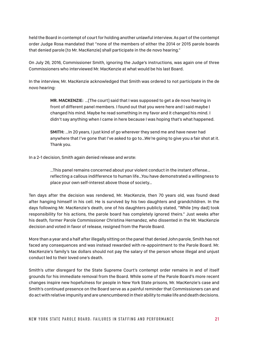held the Board in contempt of court for holding another unlawful interview. As part of the contempt order Judge Rosa mandated that "none of the members of either the 2014 or 2015 parole boards that denied parole [to Mr. MacKenzie] shall participate in the de novo hearing."

On July 26, 2016, Commissioner Smith, ignoring the Judge's instructions, was again one of three Commissioners who interviewed Mr. MacKenzie at what would be his last Board.

In the interview, Mr. MacKenzie acknowledged that Smith was ordered to not participate in the de novo hearing:

> **MR. MACKENZIE:** …[The court] said that I was supposed to get a de novo hearing in front of different panel members. I found out that you were here and I said maybe I changed his mind. Maybe he read something in my favor and it changed his mind. I didn't say anything when I came in here because I was hoping that's what happened.

**SMITH:** …In 20 years, I just kind of go wherever they send me and have never had anywhere that I've gone that I've asked to go to…We're going to give you a fair shot at it. Thank you.

In a 2-1 decision, Smith again denied release and wrote:

…This panel remains concerned about your violent conduct in the instant offense… reflecting a callous indifference to human life…You have demonstrated a willingness to place your own self-interest above those of society…

Ten days after the decision was rendered, Mr. MacKenzie, then 70 years old, was found dead after hanging himself in his cell. He is survived by his two daughters and grandchildren. In the days following Mr. MacKenzie's death, one of his daughters publicly stated, "While [my dad] took responsibility for his actions, the parole board has completely ignored theirs." Just weeks after his death, former Parole Commissioner Christina Hernandez, who dissented in the Mr. MacKenzie decision and voted in favor of release, resigned from the Parole Board.

More than a year and a half after illegally sitting on the panel that denied John parole, Smith has not faced any consequences and was instead rewarded with re-appointment to the Parole Board. Mr. MacKenzie's family's tax dollars should not pay the salary of the person whose illegal and unjust conduct led to their loved one's death.

Smith's utter disregard for the State Supreme Court's contempt order remains in and of itself grounds for his immediate removal from the Board. While some of the Parole Board's more recent changes inspire new hopefulness for people in New York State prisons, Mr. MacKenzie's case and Smith's continued presence on the Board serve as a painful reminder that Commissioners can and do act with relative impunity and are unencumbered in their ability to make life and death decisions.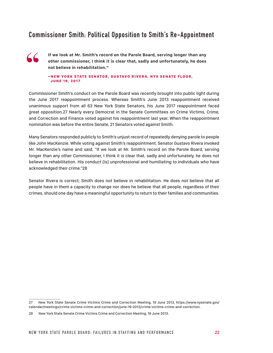### **Commissioner Smith: Political Opposition to Smith's Re-Appointment**



**If we look at Mr. Smith's record on the Parole Board, serving longer than any other commissioner, I think it is clear that, sadly and unfortunately, he does not believe in rehabilitation."**

#### **-NEW YORK STATE SENATOR, GUSTAVO RIVERA, NYS SENATE FLOOR,** JUNE 19, 2017

Commissioner Smith's conduct on the Parole Board was recently brought into public light during the June 2017 reappointment process. Whereas Smith's June 2013 reappointment received unanimous support from all 63 New York State Senators, his June 2017 reappointment faced great opposition.27 Nearly every Democrat in the Senate Committees on Crime Victims, Crime, and Correction and Finance voted against his reappointment last year. When the reappointment nomination was before the entire Senate, 21 Senators voted against Smith.

Many Senators responded publicly to Smith's unjust record of repeatedly denying parole to people like John MacKenzie. While voting against Smith's reappointment, Senator Gustavo Rivera invoked Mr. MacKenzie's name and said, "If we look at Mr. Smith's record on the Parole Board, serving longer than any other Commissioner, I think it is clear that, sadly and unfortunately, he does not believe in rehabilitation. His conduct [is] unprofessional and humiliating to individuals who have acknowledged their crime."28

Senator Rivera is correct; Smith does not believe in rehabilitation. He does not believe that all people have in them a capacity to change nor does he believe that all people, regardless of their crimes, should one day have a meaningful opportunity to return to their families and communities.

<sup>27</sup> New York State Senate Crime Victims Crime and Correction Meeting, 19 June 2013, https://www.nysenate.gov/ calendar/meetings/crime-victims-crime-and-correction/june-19-2013/crime-victims-crime-and-correction.

<sup>28</sup> New York State Senate Crime Victims Crime and Correction Meeting, 19 June 2013.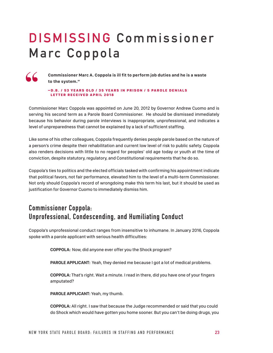## **DISMISSING Commissioner Marc Coppola**



**Commissioner Marc A. Coppola is ill fit to perform job duties and he is a waste to the system."**

 $-$  D.B. / 53 YEARS OLD / 35 YEARS IN PRISON / 5 PAROLE DENIALS LETTER RECEIVED APRIL 2018

Commissioner Marc Coppola was appointed on June 20, 2012 by Governor Andrew Cuomo and is serving his second term as a Parole Board Commissioner. He should be dismissed immediately because his behavior during parole interviews is inappropriate, unprofessional, and indicates a level of unpreparedness that cannot be explained by a lack of sufficient staffing.

Like some of his other colleagues, Coppola frequently denies people parole based on the nature of a person's crime despite their rehabilitation and current low level of risk to public safety. Coppola also renders decisions with little to no regard for peoples' old age today or youth at the time of conviction, despite statutory, regulatory, and Constitutional requirements that he do so.

Coppola's ties to politics and the elected officials tasked with confirming his appointment indicate that political favors, not fair performance, elevated him to the level of a multi-term Commissioner. Not only should Coppola's record of wrongdoing make this term his last, but it should be used as justification for Governor Cuomo to immediately dismiss him.

## **Commissioner Coppola: Unprofessional, Condescending, and Humiliating Conduct**

Coppola's unprofessional conduct ranges from insensitive to inhumane. In January 2016, Coppola spoke with a parole applicant with serious health difficulties:

**COPPOLA:** Now, did anyone ever offer you the Shock program?

**PAROLE APPLICANT:** Yeah, they denied me because I got a lot of medical problems.

**COPPOLA:** That's right. Wait a minute. I read in there, did you have one of your fingers amputated?

**PAROLE APPLICANT:** Yeah, my thumb.

**COPPOLA:** All right. I saw that because the Judge recommended or said that you could do Shock which would have gotten you home sooner. But you can't be doing drugs, you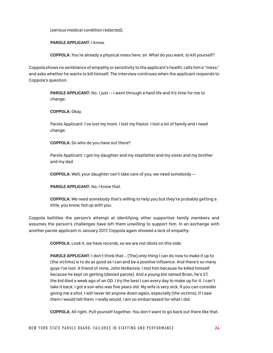[serious medical condition redacted].

**PAROLE APPLICANT:** I know.

**COPPOLA:** You're already a physical mess here, sir. What do you want, to kill yourself?

Coppola shows no semblance of empathy or sensitivity to the applicant's health, calls him a "mess," and asks whether he wants to kill himself. The interview continues when the applicant responds to Coppola's question:

> **PAROLE APPLICANT:** No. I just -- I went through a hard life and it's time for me to change.

**COPPOLA:** Okay.

Parole Applicant: I've lost my mom. I lost my Pastor. I lost a lot of family and I need change.

**COPPOLA:** So who do you have out there?

Parole Applicant: I got my daughter and my stepfather and my sister and my brother and my dad.

**COPPOLA:** Well, your daughter can't take care of you, we need somebody --

**PAROLE APPLICANT:** No, I know that.

**COPPOLA:** We need somebody that's willing to help you but they're probably getting a little, you know, fed up with you.

Coppola belittles the person's attempt at identifying other supportive family members and assumes the person's challenges have left them unwilling to support him. In an exchange with another parole applicant in January 2017, Coppola again showed a lack of empathy:

**COPPOLA:** Look it, we have records, so we are not idiots on this side.

**PAROLE APPLICANT:** I don't think that... [The] only thing I can do now to make it up to [the victims] is to do as good as I can and be a positive influence. And there's so many guys I've lost. A friend of mine, John McKenzie, I lost him because he killed himself because he kept on getting [denied parole]. And a young kid named Brian, he's 27, the kid died a week ago of an OD. I try the best I can every day to make up for it. I can't take it back. I got a son who was five years old. My wife is very sick. If you can consider giving me a shot, I will never let anyone down again, especially [the victims]. If I saw them I would tell them, I really would. I am so embarrassed for what I did.

**COPPOLA:** All right. Pull yourself together. You don't want to go back out there like that.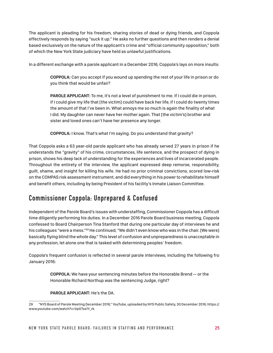The applicant is pleading for his freedom, sharing stories of dead or dying friends, and Coppola effectively responds by saying "suck it up." He asks no further questions and then renders a denial based exclusively on the nature of the applicant's crime and "official community opposition," both of which the New York State judiciary have held as unlawful justifications.

In a different exchange with a parole applicant in a December 2016, Coppola's lays on more insults:

**COPPOLA:** Can you accept if you wound up spending the rest of your life in prison or do you think that would be unfair?

**PAROLE APPLICANT:** To me, it's not a level of punishment to me. If I could die in prison, if I could give my life that [the victim] could have back her life, if I could do twenty times the amount of that I've been in. What annoys me so much is again the finality of what I did. My daughter can never have her mother again. That [the victim's] brother and sister and loved ones can't have her presence any longer.

**COPPOLA:** I know. That's what I'm saying. Do you understand that gravity?

That Coppola asks a 63 year-old parole applicant who has already served 27 years in prison if he understands the "gravity" of his crime, circumstances, life sentence, and the prospect of dying in prison, shows his deep lack of understanding for the experiences and lives of incarcerated people. Throughout the entirety of the interview, the applicant expressed deep remorse, responsibility, guilt, shame, and insight for killing his wife. He had no prior criminal convictions, scored low-risk on the COMPAS risk assessment instrument, and did everything in his power to rehabilitate himself and benefit others, including by being President of his facility's Inmate Liaison Committee.

### **Commissioner Coppola: Unprepared & Confused**

Independent of the Parole Board's issues with understaffing, Commissioner Coppola has a difficult time diligently performing his duties. In a December 2016 Parole Board business meeting, Coppola confessed to Board Chairperson Tina Stanford that during one particular day of interviews he and his colleagues "were a mess."<sup>29</sup> He continued, "We didn't even know who was in the chair. [We were] basically flying blind the whole day." This level of confusion and unpreparedness is unacceptable in any profession, let alone one that is tasked with determining peoples' freedom.

Coppola's frequent confusion is reflected in several parole interviews, including the following fro January 2016:

> **COPPOLA:** We have your sentencing minutes before the Honorable Brend -- or the Honorable Richard Northup was the sentencing Judge, right?

#### **PAROLE APPLICANT:** He's the DA.

<sup>29 &</sup>quot;NYS Board of Parole Meeting December 2016," YouTube, uploaded by NYS Public Safety, 30 December 2016, https:// www.youtube.com/watch?v=VpGTss1Y\_rk.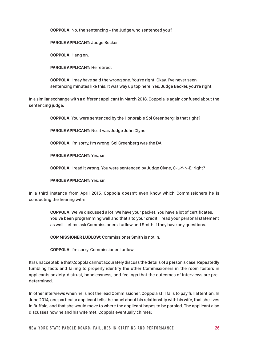**COPPOLA:** No, the sentencing - the Judge who sentenced you?

**PAROLE APPLICANT:** Judge Becker.

**COPPOLA:** Hang on.

**PAROLE APPLICANT:** He retired.

**COPPOLA:** I may have said the wrong one. You're right. Okay. I've never seen sentencing minutes like this. It was way up top here. Yes, Judge Becker, you're right.

In a similar exchange with a different applicant in March 2018, Coppola is again confused about the sentencing judge:

**COPPOLA:** You were sentenced by the Honorable Sol Greenberg; is that right?

**PAROLE APPLICANT:** No, it was Judge John Clyne.

**COPPOLA:** I'm sorry, I'm wrong. Sol Greenberg was the DA.

**PAROLE APPLICANT:** Yes, sir.

**COPPOLA:** I read it wrong. You were sentenced by Judge Clyne, C-L-Y-N-E; right?

**PAROLE APPLICANT:** Yes, sir.

In a third instance from April 2015, Coppola doesn't even know which Commissioners he is conducting the hearing with:

> **COPPOLA:** We've discussed a lot. We have your packet. You have a lot of certificates. You've been programming well and that's to your credit. I read your personal statement as well. Let me ask Commissioners Ludlow and Smith if they have any questions.

**COMMISSIONER LUDLOW:** Commissioner Smith is not in.

**COPPOLA:** I'm sorry. Commissioner Ludlow.

It is unacceptable that Coppola cannot accurately discuss the details of a person's case. Repeatedly fumbling facts and failing to properly identify the other Commissioners in the room fosters in applicants anxiety, distrust, hopelessness, and feelings that the outcomes of interviews are predetermined.

In other interviews when he is not the lead Commissioner, Coppola still fails to pay full attention. In June 2014, one particular applicant tells the panel about his relationship with his wife, that she lives in Buffalo, and that she would move to where the applicant hopes to be paroled. The applicant also discusses how he and his wife met. Coppola eventually chimes: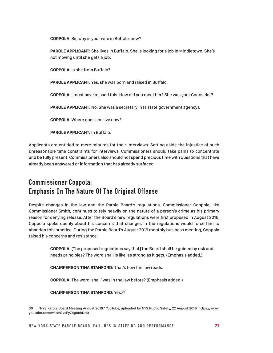**COPPOLA:** Sir, why is your wife in Buffalo, now?

**PAROLE APPLICANT:** She lives in Buffalo. She is looking for a job in Middletown. She's not moving until she gets a job.

**COPPOLA:** Is she from Buffalo?

**PAROLE APPLICANT:** Yes, she was born and raised in Buffalo.

**COPPOLA:** I must have missed this. How did you meet her? She was your Counselor?

**PAROLE APPLICANT:** No. She was a secretary in [a state government agency].

**COPPOLA:** Where does she live now?

**PAROLE APPLICANT:** In Buffalo.

Applicants are entitled to mere minutes for their interviews. Setting aside the injustice of such unreasonable time constraints for interviews, Commissioners should take pains to concentrate and be fully present. Commissioners also should not spend precious time with questions that have already been answered or information that has already surfaced.

## **Commissioner Coppola: Emphasis On The Nature Of The Original Offense**

Despite changes in the law and the Parole Board's regulations, Commissioner Coppola, like Commissioner Smith, continues to rely heavily on the nature of a person's crime as his primary reason for denying release. After the Board's new regulations were first proposed in August 2016, Coppola spoke openly about his concerns that changes in the regulations would force him to abandon this practice. During the Parole Board's August 2016 monthly business meeting, Coppola raised his concerns and resistance:

> **COPPOLA:** [The proposed regulations say that] the Board shall be guided by risk and needs principles? The word shall is like, as strong as it gets. (Emphasis added.)

**CHAIRPERSON TINA STANFORD:** That's how the law reads.

**COPPOLA:** The word 'shall' was in the law before? (Emphasis added.)

**CHAIRPERSON TINA STANFORD:** Yes.30

<sup>30 &</sup>quot;NYS Parole Board Meeting August 2016," YouTube, uploaded by NYS Public Safety, 22 August 2016, https://www. youtube.com/watch?v=EyZ4g9cBDH0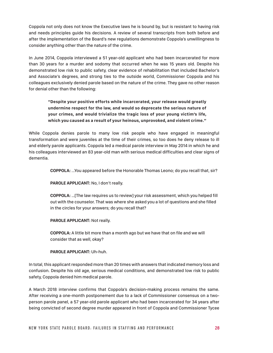Coppola not only does not know the Executive laws he is bound by, but is resistant to having risk and needs principles guide his decisions. A review of several transcripts from both before and after the implementation of the Board's new regulations demonstrate Coppola's unwillingness to consider anything other than the nature of the crime.

In June 2014, Coppola interviewed a 51 year-old applicant who had been incarcerated for more than 30 years for a murder and sodomy that occurred when he was 15 years old. Despite his demonstrated low risk to public safety, clear evidence of rehabilitation that included Bachelor's and Associate's degrees, and strong ties to the outside world, Commissioner Coppola and his colleagues exclusively denied parole based on the nature of the crime. They gave no other reason for denial other than the following:

**"Despite your positive efforts while incarcerated, your release would greatly undermine respect for the law, and would so deprecate the serious nature of your crimes, and would trivialize the tragic loss of your young victim's life, which you caused as a result of your heinous, unprovoked, and violent crime."**

While Coppola denies parole to many low risk people who have engaged in meaningful transformation and were juveniles at the time of their crimes, so too does he deny release to ill and elderly parole applicants. Coppola led a medical parole interview in May 2014 in which he and his colleagues interviewed an 83 year-old man with serious medical difficulties and clear signs of dementia.

**COPPOLA:** ...You appeared before the Honorable Thomas Leono; do you recall that, sir?

**PAROLE APPLICANT:** No, I don't really.

**COPPOLA:** …[The law requires us to review] your risk assessment, which you helped fill out with the counselor. That was where she asked you a lot of questions and she filled in the circles for your answers; do you recall that?

**PAROLE APPLICANT:** Not really.

**COPPOLA:** A little bit more than a month ago but we have that on file and we will consider that as well, okay?

#### **PAROLE APPLICANT:** Uh-huh.

In total, this applicant responded more than 20 times with answers that indicated memory loss and confusion. Despite his old age, serious medical conditions, and demonstrated low risk to public safety, Coppola denied him medical parole.

A March 2018 interview confirms that Coppola's decision-making process remains the same. After receiving a one-month postponement due to a lack of Commissioner consensus on a twoperson parole panel, a 57 year-old parole applicant who had been incarcerated for 34 years after being convicted of second degree murder appeared in front of Coppola and Commissioner Tycee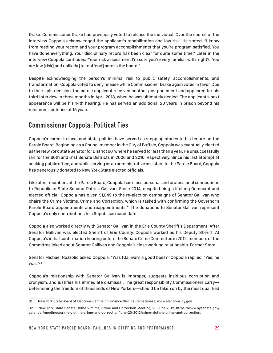Drake. Commissioner Drake had previously voted to release the individual. Over the course of the interview Coppola acknowledged the applicant's rehabilitation and low risk. He stated, "I know from reading your record and your program accomplishments that you're program satisfied. You have done everything. Your disciplinary record has been clear for quite some time." Later in the interview Coppola continues: "Your risk assessment I'm sure you're very familiar with, right?...You are low [risk] and unlikely [to reoffend] across the board."

Despite acknowledging the person's minimal risk to public safety, accomplishments, and transformation, Coppola voted to deny release while Commissioner Drake again voted in favor. Due to their split decision, the parole applicant received another postponement and appeared for his third interview in three months in April 2018, when he was ultimately denied. The applicant's next appearance will be his 14th hearing. He has served an additional 20 years in prison beyond his minimum sentence of 15 years.

## **Commissioner Coppola: Political Ties**

Coppola's career in local and state politics have served as stepping stones to his tenure on the Parole Board. Beginning as a Councilmember in the City of Buffalo, Coppola was eventually elected as the New York State Senator for District 60, where he served for less than a year. He unsuccessfully ran for the 60th and 61st Senate Districts in 2006 and 2010 respectively. Since his last attempt at seeking public office, and while serving as an administrative assistant to the Parole Board, Coppola has generously donated to New York State elected officials.

Like other members of the Parole Board, Coppola has close personal and professional connections to Republican State Senator Patrick Gallivan. Since 2014, despite being a lifelong Democrat and elected official, Coppola has given \$1,049 to the re-election campaigns of Senator Gallivan who chairs the Crime Victims, Crime and Correction, which is tasked with confirming the Governor's Parole Board appointments and reappointments.<sup>31</sup> The donations to Senator Gallivan represent Coppola's only contributions to a Republican candidate.

Coppola also worked directly with Senator Gallivan in the Erie County Sheriff's Department. After Senator Gallivan was elected Sheriff of Erie County, Coppola worked as his Deputy Sheriff. At Coppola's initial confirmation hearing before the Senate Crime Committee in 2012, members of the Committee joked about Senator Gallivan and Coppola's close working relationship. Former State

Senator Michael Nozzolio asked Coppola, "Was [Gallivan] a good boss?" Coppola replied, "Yes, he was."32

Coppola's relationship with Senator Gallivan is improper, suggests insidious corruption and cronyism, and justifies his immediate dismissal. The great responsibility Commissioners carry determining the freedom of thousands of New Yorkers—should be taken on by the most qualified

<sup>31</sup> New York State Board of Elections Campaign Finance Disclosure Database, www.elections.ny.gov.

<sup>32</sup> New York State Senate Crime Victims, Crime and Correction Meeting, 20 June 2012, https://www.nysenate.gov/ calendar/meetings/crime-victims-crime-and-correction/june-20-2012/crime-victims-crime-and-correction.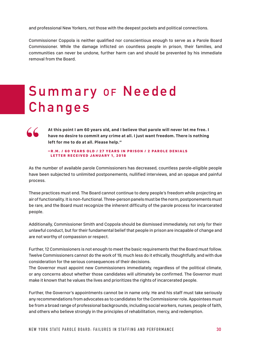and professional New Yorkers, not those with the deepest pockets and political connections.

Commissioner Coppola is neither qualified nor conscientious enough to serve as a Parole Board Commissioner. While the damage inflicted on countless people in prison, their families, and communities can never be undone, further harm can and should be prevented by his immediate removal from the Board.

## **Summary** of **Needed Changes**

**"**

**At this point I am 60 years old, and I believe that parole will never let me free. I have no desire to commit any crime at all. I just want freedom. There is nothing left for me to do at all. Please help."**

-R.M. / 60 YEARS OLD / 27 YEARS IN PRISON / 2 PAROLE DENIALS LETTER RECEIVED JANUARY 1, 2018

As the number of available parole Commissioners has decreased, countless parole-eligible people have been subjected to unlimited postponements, nullified interviews, and an opaque and painful process.

These practices must end. The Board cannot continue to deny people's freedom while projecting an air of functionality. It is non-functional. Three-person panels must be the norm, postponements must be rare, and the Board must recognize the inherent difficulty of the parole process for incarcerated people.

Additionally, Commissioner Smith and Coppola should be dismissed immediately, not only for their unlawful conduct, but for their fundamental belief that people in prison are incapable of change and are not worthy of compassion or respect.

Further, 12 Commissioners is not enough to meet the basic requirements that the Board must follow. Twelve Commissioners cannot do the work of 19, much less do it ethically, thoughtfully, and with due consideration for the serious consequences of their decisions.

The Governor must appoint new Commissioners immediately, regardless of the political climate, or any concerns about whether those candidates will ultimately be confirmed. The Governor must make it known that he values the lives and prioritizes the rights of incarcerated people.

Further, the Governor's appointments cannot be in name only. He and his staff must take seriously any recommendations from advocates as to candidates for the Commissioner role. Appointees must be from a broad range of professional backgrounds, including social workers, nurses, people of faith, and others who believe strongly in the principles of rehabilitation, mercy, and redemption.